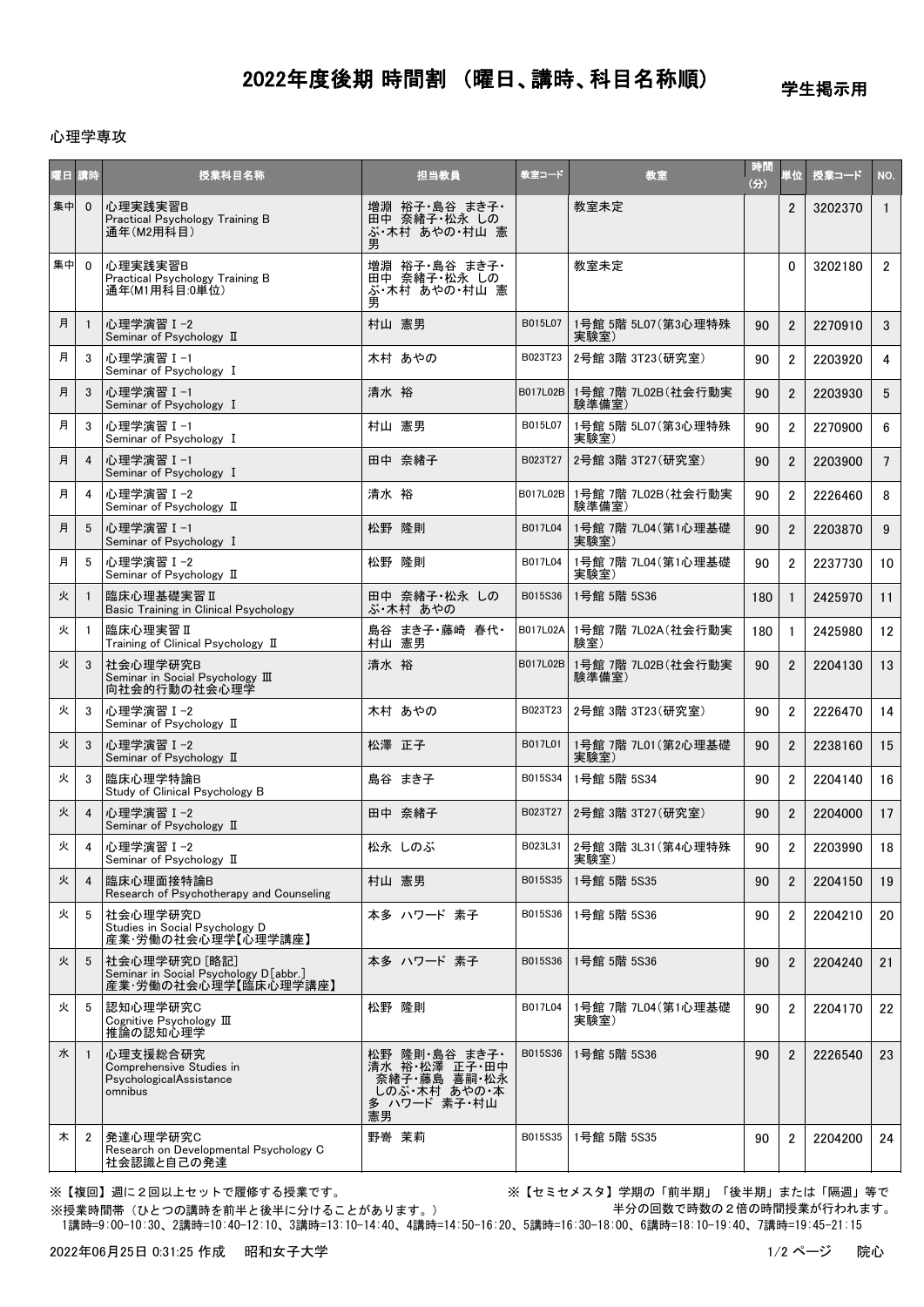## 2022年度後期 時間割 (曜日、講時、科目名称順)

学生掲示用

## 心理学専攻

| 曜日 | 講時             | 授業科目名称                                                                         | 担当教員                                                                                 | 教室コード    | 教室                                   | 時間<br>(3) | 単位             | 授業コード   | NO.             |
|----|----------------|--------------------------------------------------------------------------------|--------------------------------------------------------------------------------------|----------|--------------------------------------|-----------|----------------|---------|-----------------|
| 集中 | $\mathbf{0}$   | 心理実践実習B<br>Practical Psychology Training B<br>通年(M2用科目)                        | 増淵 裕子・島谷 まき子・<br>田中 奈緒子・松永 しの<br>ぶ・木村 あやの・村山 憲<br>男                                  |          | 教室未定                                 |           | $\overline{2}$ | 3202370 | $\mathbf{1}$    |
| 集中 | $\mathbf 0$    | 心理実践実習B<br>Practical Psychology Training B<br>通年(M1用科目:0単位)                    | 増淵 裕子・島谷 まき子・<br>田中 奈緒子・松永 しの<br>ぶ・木村 あやの・村山 憲                                       |          | 教室未定                                 |           | $\Omega$       | 3202180 | $2^{\circ}$     |
| 月  | $\mathbf{1}$   | 心理学演習 I-2<br>Seminar of Psychology II                                          | 村山 憲男                                                                                | B015L07  | 1号館 5階 5L07 (第3心理特殊<br>実験室)          | 90        | $\overline{2}$ | 2270910 | 3 <sup>1</sup>  |
| 月  | 3              | 心理学演習 I-1<br>Seminar of Psychology I                                           | 木村 あやの                                                                               | B023T23  | 2号館 3階 3T23(研究室)                     | 90        | $\overline{2}$ | 2203920 | $\overline{4}$  |
| 月  | 3              | 心理学演習Ⅰ-1<br>Seminar of Psychology I                                            | 清水 裕                                                                                 | B017L02B | 1号館 7階 7L02B(社会行動実<br>験準備室)          | 90        | $\overline{2}$ | 2203930 | 5 <sup>5</sup>  |
| 月  | 3              | 心理学演習 I-1<br>Seminar of Psychology I                                           | 村山 憲男                                                                                | B015L07  | 1号館 5階 5L07(第3心理特殊<br>実験室)           | 90        | $\overline{2}$ | 2270900 | $6\overline{6}$ |
| 月  | $\overline{4}$ | 心理学演習 I-1<br>Seminar of Psychology I                                           | 田中 奈緒子                                                                               | B023T27  | 2号館 3階 3T27(研究室)                     | 90        | $\overline{2}$ | 2203900 | $7\overline{ }$ |
| 月  | 4              | 心理学演習 I-2<br>Seminar of Psychology II                                          | 清水 裕                                                                                 |          | B017L02B 1号館 7階 7L02B(社会行動実<br>験準備室) | 90        | $\overline{2}$ | 2226460 | 8               |
| 月  | 5              | 心理学演習 I-1<br>Seminar of Psychology I                                           | 松野 隆則                                                                                | B017L04  | 1号館 7階 7L04 (第1心理基礎<br>実験室)          | 90        | $\overline{2}$ | 2203870 | 9               |
| 月  | 5              | 心理学演習 I-2<br>Seminar of Psychology II                                          | 松野 隆則                                                                                | B017L04  | 1号館 7階 7L04 (第1心理基礎<br>実験室)          | 90        | $\overline{2}$ | 2237730 | 10 <sup>1</sup> |
| 火  | $\mathbf{1}$   | 臨床心理基礎実習Ⅱ<br><b>Basic Training in Clinical Psychology</b>                      | 田中 奈緒子・松永 しの<br>ぶ・木村 あやの                                                             | B015S36  | 1号館 5階 5S36                          | 180       | $\mathbf{1}$   | 2425970 | 11              |
| 火  | -1             | 臨床心理実習 II<br>Training of Clinical Psychology II                                | 島谷 まき子・藤崎 春代・<br>村山 憲男                                                               |          | B017L02A 1号館 7階 7L02A (社会行動実<br>験室)  | 180       | $\mathbf{1}$   | 2425980 | 12              |
| 火  | 3              | 社会心理学研究B<br>Seminar in Social Psychology III<br>向社会的行動の社会心理学                   | 清水 裕                                                                                 | B017L02B | 1号館 7階 7L02B(社会行動実<br>験準備室)          | 90        | $\overline{2}$ | 2204130 | 13              |
| 火  | 3              | 心理学演習 I-2<br>Seminar of Psychology II                                          | 木村 あやの                                                                               | B023T23  | 2号館 3階 3T23(研究室)                     | 90        | $\overline{2}$ | 2226470 | 14              |
| 火  | 3              | 心理学演習 I-2<br>Seminar of Psychology II                                          | 松澤 正子                                                                                | B017L01  | 1号館 7階 7L01(第2心理基礎<br>実験室)           | 90        | $\overline{2}$ | 2238160 | 15              |
| 火  | 3              | 臨床心理学特論B<br>Study of Clinical Psychology B                                     | 島谷 まき子                                                                               | B015S34  | 1号館 5階 5S34                          | 90        | $\overline{2}$ | 2204140 | 16              |
| 火  | 4              | 心理学演習 I-2<br>Seminar of Psychology II                                          | 田中 奈緒子                                                                               | B023T27  | 2号館 3階 3T27(研究室)                     | 90        | $\overline{2}$ | 2204000 | 17              |
| 火  | 4              | 心理学演習 I-2<br>Seminar of Psychology II                                          | 松永 しのぶ                                                                               |          | B023L31 2号館 3階 3L31 (第4心理特殊<br>実験室)  | 90        | $\overline{2}$ | 2203990 | 18              |
| 火  | $\overline{4}$ | 臨床心理面接特論B<br>Research of Psychotherapy and Counseling                          | 村山 憲男                                                                                | B015S35  | 1号館 5階 5S35                          | 90        | $\overline{2}$ | 2204150 | 19              |
| 火  | 5              | 社会心理学研究D<br>Studies in Social Psychology D<br>産業・労働の社会心理学【心理学講座】               | 本多 ハワード 素子                                                                           | B015S36  | 1号館 5階 5S36                          | 90        | $\overline{2}$ | 2204210 | 20              |
| 火  | 5              | 社会心理学研究D [略記]<br>Seminar in Social Psychology D[abbr.]<br>産業・労働の社会心理学【臨床心理学講座】 | 本多 ハワード 素子                                                                           | B015S36  | 1号館 5階 5S36                          | 90        | $\overline{2}$ | 2204240 | 21              |
| 火  | 5              | 認知心理学研究C<br>Cognitive Psychology III<br>推論の認知心理学                               | 松野 隆則                                                                                | B017L04  | 1号館 7階 7L04 (第1心理基礎<br>実験室)          | 90        | $\overline{2}$ | 2204170 | 22              |
| 水  | -1             | 心理支援総合研究<br>Comprehensive Studies in<br>PsychologicalAssistance<br>omnibus     | 松野 隆則・島谷 まき子・<br>清水 裕 松澤 正子 田中<br>奈緒子·藤島 喜嗣·松永<br>しのぶ・木村 あやの・本<br>多 ハワード 素子・村山<br>憲男 | B015S36  | 1号館 5階 5S36                          | 90        | $\overline{2}$ | 2226540 | 23              |
| 木  | $\overline{2}$ | 発達心理学研究C<br>Research on Developmental Psychology C<br>社会認識と自己の発達               | 野嵜 茉莉                                                                                | B015S35  | 1号館 5階 5S35                          | 90        | $\overline{2}$ | 2204200 | 24              |

※【複回】週に2回以上セットで履修する授業です。 ※【セミセメスタ】学期の「前半期」「後半期」または「隔週」等で 半分の回数で時数の2倍の時間授業が行われます。

 1講時=9:00-10:30、2講時=10:40-12:10、3講時=13:10-14:40、4講時=14:50-16:20、5講時=16:30-18:00、6講時=18:10-19:40、7講時=19:45-21:15 ※授業時間帯(ひとつの講時を前半と後半に分けることがあります。)